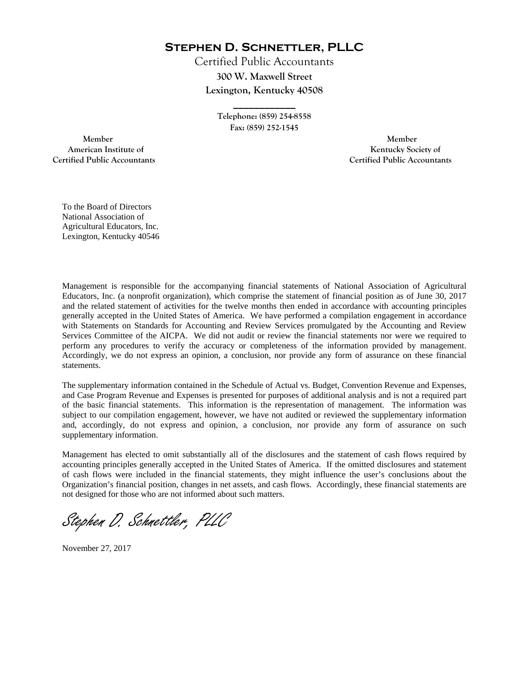**Stephen D. Schnettler, PLLC**

Certified Public Accountants **300 W. Maxwell Street Lexington, Kentucky 40508** 

> **Telephone: (859) 254-8558 Fax: (859) 252-1545**

**\_\_\_\_\_\_\_\_\_\_\_\_** 

 **Member Member Certified Public Accountants Certified Public Accountants** 

American Institute of **Kentucky Society of** 

To the Board of Directors National Association of Agricultural Educators, Inc. Lexington, Kentucky 40546

Management is responsible for the accompanying financial statements of National Association of Agricultural Educators, Inc. (a nonprofit organization), which comprise the statement of financial position as of June 30, 2017 and the related statement of activities for the twelve months then ended in accordance with accounting principles generally accepted in the United States of America. We have performed a compilation engagement in accordance with Statements on Standards for Accounting and Review Services promulgated by the Accounting and Review Services Committee of the AICPA. We did not audit or review the financial statements nor were we required to perform any procedures to verify the accuracy or completeness of the information provided by management. Accordingly, we do not express an opinion, a conclusion, nor provide any form of assurance on these financial statements.

The supplementary information contained in the Schedule of Actual vs. Budget, Convention Revenue and Expenses, and Case Program Revenue and Expenses is presented for purposes of additional analysis and is not a required part of the basic financial statements. This information is the representation of management. The information was subject to our compilation engagement, however, we have not audited or reviewed the supplementary information and, accordingly, do not express and opinion, a conclusion, nor provide any form of assurance on such supplementary information.

Management has elected to omit substantially all of the disclosures and the statement of cash flows required by accounting principles generally accepted in the United States of America. If the omitted disclosures and statement of cash flows were included in the financial statements, they might influence the user's conclusions about the Organization's financial position, changes in net assets, and cash flows. Accordingly, these financial statements are not designed for those who are not informed about such matters.

Stephen D. Schnettler, PLLC

November 27, 2017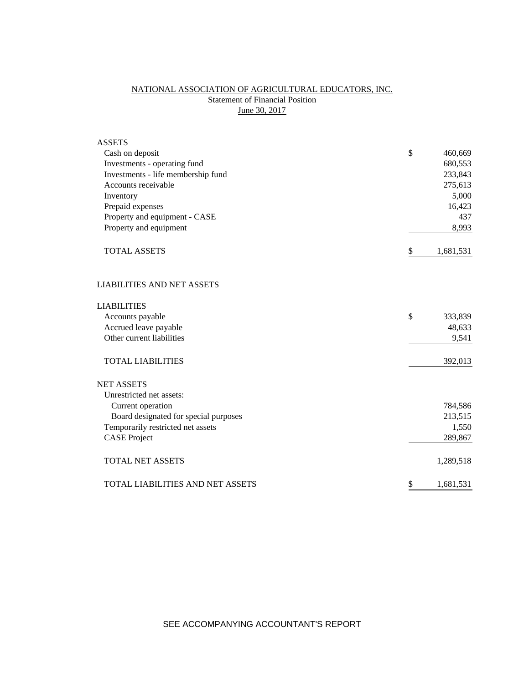# NATIONAL ASSOCIATION OF AGRICULTURAL EDUCATORS, INC. **Statement of Financial Position** June 30, 2017

| <b>ASSETS</b>                           |                 |
|-----------------------------------------|-----------------|
| Cash on deposit                         | \$<br>460,669   |
| Investments - operating fund            | 680,553         |
| Investments - life membership fund      | 233,843         |
| Accounts receivable                     | 275,613         |
| Inventory                               | 5,000           |
| Prepaid expenses                        | 16,423          |
| Property and equipment - CASE           | 437             |
| Property and equipment                  | 8,993           |
| <b>TOTAL ASSETS</b>                     | \$<br>1,681,531 |
| <b>LIABILITIES AND NET ASSETS</b>       |                 |
| <b>LIABILITIES</b>                      |                 |
| Accounts payable                        | \$<br>333,839   |
| Accrued leave payable                   | 48,633          |
| Other current liabilities               | 9,541           |
| <b>TOTAL LIABILITIES</b>                | 392,013         |
| <b>NET ASSETS</b>                       |                 |
| Unrestricted net assets:                |                 |
| Current operation                       | 784,586         |
| Board designated for special purposes   | 213,515         |
| Temporarily restricted net assets       | 1,550           |
| <b>CASE Project</b>                     | 289,867         |
| <b>TOTAL NET ASSETS</b>                 | 1,289,518       |
| <b>TOTAL LIABILITIES AND NET ASSETS</b> | \$<br>1,681,531 |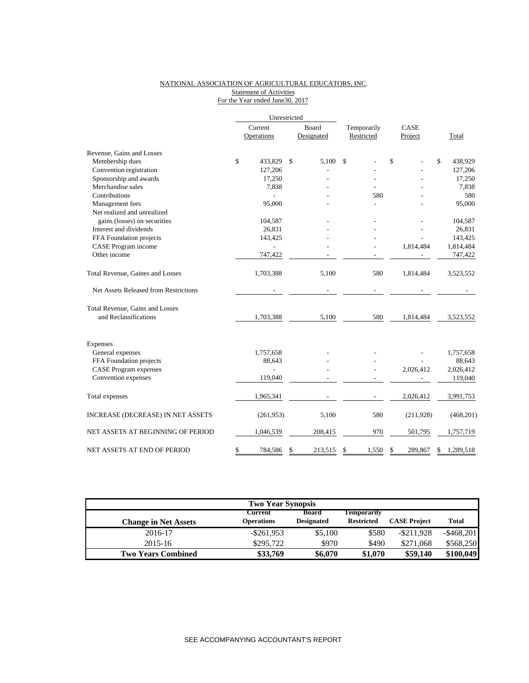### NATIONAL ASSOCIATION OF AGRICULTURAL EDUCATORS, INC. Statement of Activities For the Year ended June30, 2017

|                                        | Unrestricted          |                            |                           |                 |              |            |
|----------------------------------------|-----------------------|----------------------------|---------------------------|-----------------|--------------|------------|
|                                        | Current<br>Operations | <b>Board</b><br>Designated | Temporarily<br>Restricted | CASE<br>Project |              | Total      |
| Revenue, Gains and Losses              |                       |                            |                           |                 |              |            |
| Membership dues                        | \$<br>433,829         | \$<br>5.100                | \$                        | \$              | $\mathbb{S}$ | 438,929    |
| Convention registration                | 127,206               |                            |                           |                 |              | 127,206    |
| Sponsorship and awards                 | 17,250                |                            |                           |                 |              | 17,250     |
| Merchandise sales                      | 7,838                 |                            |                           |                 |              | 7,838      |
| Contributions                          |                       |                            | 580                       |                 |              | 580        |
| Management fees                        | 95,000                |                            |                           |                 |              | 95,000     |
| Net realized and unrealized            |                       |                            |                           |                 |              |            |
| gains (losses) on securities           | 104,587               |                            |                           |                 |              | 104,587    |
| Interest and dividends                 | 26,831                |                            |                           |                 |              | 26,831     |
| FFA Foundation projects                | 143,425               |                            |                           |                 |              | 143,425    |
| CASE Program income                    |                       |                            |                           | 1,814,484       |              | 1,814,484  |
| Other income                           | 747,422               |                            |                           |                 |              | 747,422    |
| Total Revenue, Gaines and Losses       | 1,703,388             | 5.100                      | 580                       | 1,814,484       |              | 3,523,552  |
| Net Assets Released from Restrictions  |                       |                            |                           |                 |              |            |
| <b>Total Revenue, Gains and Losses</b> |                       |                            |                           |                 |              |            |
| and Reclassifications                  | 1,703,388             | 5,100                      | 580                       | 1,814,484       |              | 3,523,552  |
| Expenses                               |                       |                            |                           |                 |              |            |
| General expenses                       | 1,757,658             |                            |                           |                 |              | 1,757,658  |
| FFA Foundation projects                | 88,643                |                            |                           |                 |              | 88,643     |
| <b>CASE Program expenses</b>           |                       |                            |                           | 2,026,412       |              | 2,026,412  |
| Convention expenses                    | 119,040               |                            |                           |                 |              | 119,040    |
| Total expenses                         | 1,965,341             |                            |                           | 2,026,412       |              | 3,991,753  |
| INCREASE (DECREASE) IN NET ASSETS      | (261,953)             | 5,100                      | 580                       | (211,928)       |              | (468, 201) |
| NET ASSETS AT BEGINNING OF PERIOD      | 1,046,539             | 208,415                    | 970                       | 501,795         |              | 1,757,719  |
| NET ASSETS AT END OF PERIOD            | \$<br>784,586         | \$<br>213,515              | \$<br>1,550               | \$<br>289.867   | \$           | 1,289,518  |

| <b>Two Year Synopsis</b>    |                              |                            |                                  |                     |               |  |  |  |  |
|-----------------------------|------------------------------|----------------------------|----------------------------------|---------------------|---------------|--|--|--|--|
| <b>Change in Net Assets</b> | Current<br><b>Operations</b> | Board<br><b>Designated</b> | Temporarily<br><b>Restricted</b> | <b>CASE Project</b> | <b>Total</b>  |  |  |  |  |
| 2016-17                     | $-$ \$261,953                | \$5,100                    | \$580                            | $-$ \$211.928       | $-$ \$468,201 |  |  |  |  |
| 2015-16                     | \$295,722                    | \$970                      | \$490                            | \$271,068           | \$568,250     |  |  |  |  |
| <b>Two Years Combined</b>   | \$33,769                     | \$6,070                    | \$1,070                          | \$59,140            | \$100,049     |  |  |  |  |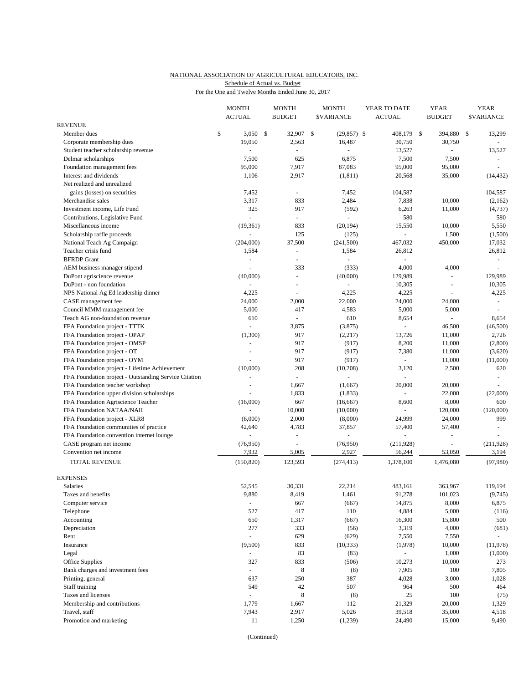### NATIONAL ASSOCIATION OF AGRICULTURAL EDUCATORS, INC. For the One and Twelve Months Ended June 30, 2017 Schedule of Actual vs. Budget

|                                                       | <b>MONTH</b><br><b>ACTUAL</b> | <b>MONTH</b><br><b>BUDGET</b>      | <b>MONTH</b><br><b><i>SVARIANCE</i></b> | YEAR TO DATE<br><b>ACTUAL</b> |     | <b>YEAR</b><br><b>BUDGET</b> | <b>YEAR</b><br><b>SVARIANCE</b> |
|-------------------------------------------------------|-------------------------------|------------------------------------|-----------------------------------------|-------------------------------|-----|------------------------------|---------------------------------|
| <b>REVENUE</b>                                        |                               |                                    |                                         |                               |     |                              |                                 |
| Member dues                                           | \$<br>3,050                   | \$<br>32,907                       | \$<br>$(29, 857)$ \$                    | 408,179                       | -\$ | 394,880                      | \$<br>13,299                    |
| Corporate membership dues                             | 19,050                        | 2,563                              | 16,487                                  | 30,750                        |     | 30,750                       |                                 |
| Student teacher scholarship revenue                   | $\overline{a}$                | ÷,                                 |                                         | 13,527                        |     |                              | 13,527                          |
| Delmar scholarships                                   | 7,500                         | 625                                | 6,875                                   | 7,500                         |     | 7,500                        | $\overline{\phantom{a}}$        |
| Foundation management fees                            | 95,000                        | 7,917                              | 87,083                                  | 95,000                        |     | 95,000                       |                                 |
| Interest and dividends                                | 1,106                         | 2,917                              | (1, 811)                                | 20,568                        |     | 35,000                       | (14, 432)                       |
| Net realized and unrealized                           |                               |                                    |                                         |                               |     |                              |                                 |
| gains (losses) on securities                          | 7,452                         | $\overline{\phantom{a}}$           | 7,452                                   | 104,587                       |     |                              | 104,587                         |
| Merchandise sales                                     | 3,317                         | 833                                | 2,484                                   | 7,838                         |     | 10,000                       | (2,162)                         |
| Investment income, Life Fund                          | 325                           | 917                                | (592)                                   | 6,263                         |     | 11,000                       | (4, 737)                        |
| Contributions, Legislative Fund                       | $\overline{a}$                | $\omega$                           |                                         | 580                           |     |                              | 580                             |
| Miscellaneous income                                  | (19, 361)<br>÷,               | 833<br>125                         | (20, 194)                               | 15,550                        |     | 10,000                       | 5,550                           |
| Scholarship raffle proceeds                           |                               |                                    | (125)                                   |                               |     | 1,500                        | (1,500)                         |
| National Teach Ag Campaign<br>Teacher crisis fund     | (204,000)<br>1,584            | 37,500<br>$\overline{\phantom{a}}$ | (241,500)<br>1,584                      | 467,032<br>26,812             |     | 450,000                      | 17,032<br>26,812                |
| <b>BFRDP</b> Grant                                    | $\sim$                        |                                    |                                         |                               |     |                              | $\blacksquare$                  |
| AEM business manager stipend                          | ÷,                            | 333                                | (333)                                   | 4,000                         |     | 4,000                        | $\overline{\phantom{a}}$        |
| DuPont agriscience revenue                            | (40,000)                      | $\omega$                           | (40,000)                                | 129,989                       |     |                              | 129,989                         |
| DuPont - non foundation                               |                               | $\blacksquare$                     |                                         | 10,305                        |     | $\overline{\phantom{a}}$     | 10,305                          |
| NPS National Ag Ed leadership dinner                  | 4,225                         | L.                                 | 4,225                                   | 4,225                         |     |                              | 4,225                           |
| CASE management fee                                   | 24,000                        | 2,000                              | 22,000                                  | 24,000                        |     | 24,000                       | $\blacksquare$                  |
| Council MMM management fee                            | 5,000                         | 417                                | 4,583                                   | 5,000                         |     | 5,000                        |                                 |
| Teach AG non-foundation revenue                       | 610                           | $\bar{\phantom{a}}$                | 610                                     | 8,654                         |     | $\Box$                       | 8,654                           |
| FFA Foundation project - TTTK                         | ÷,                            | 3,875                              | (3,875)                                 |                               |     | 46,500                       | (46,500)                        |
| FFA Foundation project - OPAP                         | (1,300)                       | 917                                | (2,217)                                 | 13,726                        |     | 11,000                       | 2,726                           |
| FFA Foundation project - OMSP                         | ÷,                            | 917                                | (917)                                   | 8,200                         |     | 11,000                       | (2,800)                         |
| FFA Foundation project - OT                           |                               | 917                                | (917)                                   | 7,380                         |     | 11,000                       | (3,620)                         |
| FFA Foundation project - OYM                          |                               | 917                                | (917)                                   |                               |     | 11,000                       | (11,000)                        |
| FFA Foundation project - Lifetime Achievement         | (10,000)                      | 208                                | (10, 208)                               | 3,120                         |     | 2,500                        | 620                             |
| FFA Foundation project - Outstanding Service Citation |                               | $\omega$                           |                                         |                               |     |                              |                                 |
| FFA Foundation teacher workshop                       | $\overline{a}$                | 1,667                              | (1,667)                                 | 20,000                        |     | 20,000                       |                                 |
| FFA Foundation upper division scholarships            |                               | 1,833                              | (1, 833)                                |                               |     | 22,000                       | (22,000)                        |
| FFA Foundation Agriscience Teacher                    | (16,000)                      | 667                                | (16, 667)                               | 8,600                         |     | 8,000                        | 600                             |
| FFA Foundation NATAA/NAII                             |                               | 10,000                             | (10,000)                                |                               |     | 120,000                      | (120,000)                       |
| FFA Foundation project - XLR8                         | (6,000)                       | 2,000                              | (8,000)                                 | 24,999                        |     | 24,000                       | 999                             |
| FFA Foundation communities of practice                | 42,640                        | 4,783                              | 37,857                                  | 57,400                        |     | 57,400                       | $\blacksquare$                  |
| FFA Foundation convention internet lounge             | $\overline{a}$                | $\ddot{}$                          | $\overline{a}$                          |                               |     | $\overline{a}$               |                                 |
| CASE program net income                               | (76,950)                      | ÷,                                 | (76,950)                                | (211, 928)                    |     | ÷,                           | (211, 928)                      |
| Convention net income                                 | 7,932                         | 5,005                              | 2,927                                   | 56,244                        |     | 53,050                       | 3,194                           |
| <b>TOTAL REVENUE</b>                                  | (150, 820)                    | 123,593                            | (274, 413)                              | 1,378,100                     |     | 1,476,080                    | (97, 980)                       |
| <b>EXPENSES</b>                                       |                               |                                    |                                         |                               |     |                              |                                 |
| Salaries                                              | 52,545                        | 30,331                             | 22,214                                  | 483,161                       |     | 363,967                      | 119,194                         |
| Taxes and benefits                                    | 9,880                         | 8,419                              | 1,461                                   | 91,278                        |     | 101,023                      | (9,745)                         |
| Computer service                                      | $\blacksquare$                | 667                                | (667)                                   | 14,875                        |     | 8,000                        | 6,875                           |
| Telephone                                             | 527                           | 417                                | 110                                     | 4,884                         |     | 5,000                        | (116)                           |
| Accounting                                            | 650                           | 1,317                              | (667)                                   | 16,300                        |     | 15,800                       | 500                             |
| Depreciation                                          | 277                           | 333                                | (56)                                    | 3,319                         |     | 4,000                        | (681)                           |
| Rent                                                  | $\overline{\phantom{a}}$      | 629                                | (629)                                   | 7,550                         |     | 7,550                        | $\omega_{\rm c}$                |
| Insurance                                             | (9,500)                       | 833                                | (10, 333)                               | (1,978)                       |     | 10,000                       | (11, 978)                       |
| Legal                                                 | $\sim$                        | 83                                 | (83)                                    | $\omega$                      |     | 1,000                        | (1,000)                         |
| Office Supplies                                       | 327                           | 833                                | (506)                                   | 10,273                        |     | 10,000                       | 273                             |
| Bank charges and investment fees                      | $\blacksquare$                | 8                                  | (8)                                     | 7,905                         |     | 100                          | 7,805                           |
| Printing, general                                     | 637                           | 250                                | 387                                     | 4,028                         |     | 3,000                        | 1,028                           |
| Staff training                                        | 549                           | $42\,$                             | 507                                     | 964                           |     | 500                          | 464                             |
| Taxes and licenses                                    | $\overline{a}$                | 8                                  | (8)                                     | 25                            |     | 100                          | (75)                            |
| Membership and contributions                          | 1,779                         | 1,667                              | 112                                     | 21,329                        |     | 20,000                       | 1,329                           |
| Travel, staff                                         | 7,943                         | 2,917                              | 5,026                                   | 39,518                        |     | 35,000                       | 4,518                           |
| Promotion and marketing                               | 11                            | 1,250                              | (1,239)                                 | 24,490                        |     | 15,000                       | 9,490                           |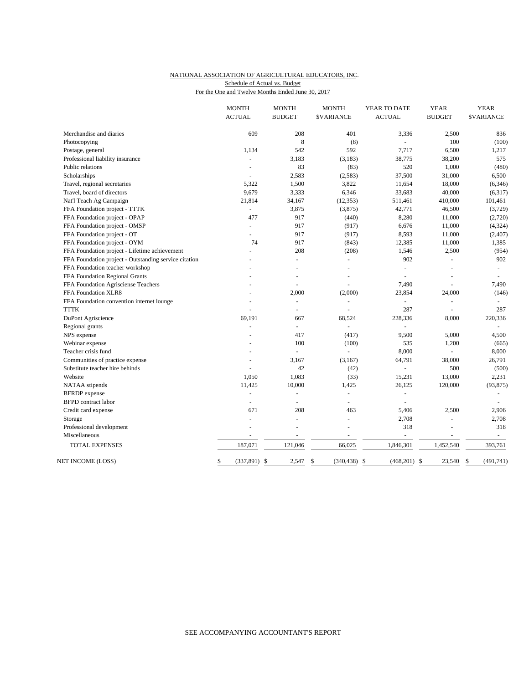### NATIONAL ASSOCIATION OF AGRICULTURAL EDUCATORS, INC. For the One and Twelve Months Ended June 30, 2017 Schedule of Actual vs. Budget

|                                                       | <b>MONTH</b>             | <b>MONTH</b>           | <b>MONTH</b>     | YEAR TO DATE             | <b>YEAR</b>    | <b>YEAR</b>              |
|-------------------------------------------------------|--------------------------|------------------------|------------------|--------------------------|----------------|--------------------------|
|                                                       | <b>ACTUAL</b>            | <b>BUDGET</b>          | <b>SVARIANCE</b> | <b>ACTUAL</b>            | <b>BUDGET</b>  | <b>SVARIANCE</b>         |
| Merchandise and diaries                               | 609                      | 208                    | 401              | 3,336                    | 2,500          | 836                      |
| Photocopying                                          |                          | 8                      | (8)              |                          | 100            | (100)                    |
| Postage, general                                      | 1,134                    | 542                    | 592              | 7,717                    | 6,500          | 1,217                    |
| Professional liability insurance                      |                          | 3,183                  | (3, 183)         | 38,775                   | 38,200         | 575                      |
| Public relations                                      |                          | 83                     | (83)             | 520                      | 1,000          | (480)                    |
| Scholarships                                          | $\sim$                   | 2,583                  | (2,583)          | 37,500                   | 31,000         | 6,500                    |
| Travel, regional secretaries                          | 5,322                    | 1,500                  | 3,822            | 11,654                   | 18,000         | (6, 346)                 |
| Travel, board of directors                            | 9,679                    | 3,333                  | 6,346            | 33,683                   | 40,000         | (6,317)                  |
| Nat'l Teach Ag Campaign                               | 21,814                   | 34,167                 | (12, 353)        | 511,461                  | 410,000        | 101,461                  |
| FFA Foundation project - TTTK                         | $\overline{a}$           | 3,875                  | (3,875)          | 42,771                   | 46,500         | (3,729)                  |
| FFA Foundation project - OPAP                         | 477                      | 917                    | (440)            | 8,280                    | 11,000         | (2,720)                  |
| FFA Foundation project - OMSP                         | $\overline{\phantom{a}}$ | 917                    | (917)            | 6,676                    | 11,000         | (4, 324)                 |
| FFA Foundation project - OT                           |                          | 917                    | (917)            | 8,593                    | 11,000         | (2, 407)                 |
| FFA Foundation project - OYM                          | 74                       | 917                    | (843)            | 12,385                   | 11,000         | 1,385                    |
| FFA Foundation project - Lifetime achievement         |                          | 208                    | (208)            | 1,546                    | 2,500          | (954)                    |
| FFA Foundation project - Outstanding service citation |                          | $\overline{a}$         | $\sim$           | 902                      | ÷.             | 902                      |
| FFA Foundation teacher workshop                       |                          |                        | $\overline{a}$   |                          | ÷.             |                          |
| FFA Foundation Regional Grants                        |                          |                        |                  |                          | L,             |                          |
| FFA Foundation Agrisciense Teachers                   |                          |                        |                  | 7,490                    | ÷              | 7,490                    |
| FFA Foundation XLR8                                   |                          | 2,000                  | (2,000)          | 23,854                   | 24,000         | (146)                    |
| FFA Foundation convention internet lounge             |                          | $\blacksquare$         | ÷,               | $\sim$                   | $\blacksquare$ | $\overline{\phantom{a}}$ |
| <b>TTTK</b>                                           |                          | ÷                      |                  | 287                      |                | 287                      |
| DuPont Agriscience                                    | 69,191                   | 667                    | 68,524           | 228,336                  | 8,000          | 220,336                  |
| Regional grants                                       | $\overline{a}$           | $\overline{a}$         | ÷                |                          |                |                          |
| NPS expense                                           |                          | 417                    | (417)            | 9,500                    | 5,000          | 4,500                    |
| Webinar expense                                       |                          | 100                    | (100)            | 535                      | 1,200          | (665)                    |
| Teacher crisis fund                                   |                          | $\overline{a}$         | $\overline{a}$   | 8,000                    | ÷.             | 8,000                    |
| Communities of practice expense                       |                          | 3,167                  | (3,167)          | 64,791                   | 38,000         | 26,791                   |
| Substitute teacher hire behinds                       | $\overline{a}$           | 42                     | (42)             | $\blacksquare$           | 500            | (500)                    |
| Website                                               | 1.050                    | 1,083                  | (33)             | 15,231                   | 13,000         | 2,231                    |
| NATAA stipends                                        | 11,425                   | 10,000                 | 1,425            | 26,125                   | 120,000        | (93, 875)                |
| <b>BFRDP</b> expense                                  | ÷.                       | ÷.                     | $\omega$         | $\omega$                 |                |                          |
| <b>BFPD</b> contract labor                            | ÷,                       | L.                     |                  |                          |                |                          |
| Credit card expense                                   | 671                      | 208                    | 463              | 5,406                    | 2,500          | 2,906                    |
| Storage                                               | ä,                       | L,                     |                  | 2,708                    | ÷,             | 2,708                    |
| Professional development                              | $\blacksquare$           | $\overline{a}$         | $\overline{a}$   | 318                      | L,             | 318                      |
| Miscellaneous                                         | $\overline{\phantom{a}}$ | $\overline{a}$         | $\overline{a}$   | $\overline{\phantom{a}}$ | $\blacksquare$ | $\sim$                   |
| <b>TOTAL EXPENSES</b>                                 | 187,071                  | 121,046                | 66,025           | 1,846,301                | 1,452,540      | 393,761                  |
| NET INCOME (LOSS)                                     | (337, 891)<br>\$         | $\mathcal{S}$<br>2,547 | \$<br>(340, 438) | (468, 201)<br>\$<br>-\$  | 23,540         | (491, 741)<br>\$         |
|                                                       |                          |                        |                  |                          |                |                          |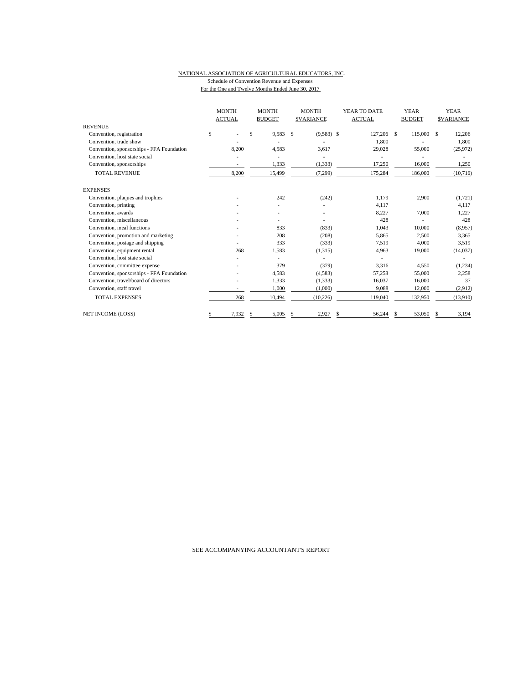#### NATIONAL ASSOCIATION OF AGRICULTURAL EDUCATORS, INC. Schedule of Convention Revenue and Expenses For the One and Twelve Months Ended June 30, 2017

|                                           | <b>MONTH</b><br><b>ACTUAL</b> | <b>MONTH</b><br><b>BUDGET</b> |     | <b>MONTH</b><br><b>SVARIANCE</b> | YEAR TO DATE<br><b>ACTUAL</b> |               | <b>YEAR</b><br><b>BUDGET</b> |    | <b>YEAR</b><br><b>SVARIANCE</b> |
|-------------------------------------------|-------------------------------|-------------------------------|-----|----------------------------------|-------------------------------|---------------|------------------------------|----|---------------------------------|
| <b>REVENUE</b>                            |                               |                               |     |                                  |                               |               |                              |    |                                 |
| Convention, registration                  | \$                            | \$<br>9,583                   | S   | $(9,583)$ \$                     | 127,206                       | <sup>\$</sup> | 115,000                      | \$ | 12,206                          |
| Convention, trade show                    |                               |                               |     |                                  | 1,800                         |               |                              |    | 1,800                           |
| Convention, sponsorships - FFA Foundation | 8,200                         | 4,583                         |     | 3,617                            | 29,028                        |               | 55,000                       |    | (25, 972)                       |
| Convention, host state social             |                               |                               |     |                                  |                               |               |                              |    |                                 |
| Convention, sponsorships                  |                               | 1,333                         |     | (1, 333)                         | 17,250                        |               | 16,000                       |    | 1,250                           |
| <b>TOTAL REVENUE</b>                      | 8,200                         | 15,499                        |     | (7, 299)                         | 175,284                       |               | 186,000                      |    | (10, 716)                       |
| <b>EXPENSES</b>                           |                               |                               |     |                                  |                               |               |                              |    |                                 |
| Convention, plaques and trophies          |                               | 242                           |     | (242)                            | 1.179                         |               | 2,900                        |    | (1, 721)                        |
| Convention, printing                      |                               |                               |     |                                  | 4,117                         |               |                              |    | 4,117                           |
| Convention, awards                        |                               |                               |     |                                  | 8,227                         |               | 7,000                        |    | 1,227                           |
| Convention, miscellaneous                 |                               |                               |     |                                  | 428                           |               |                              |    | 428                             |
| Convention, meal functions                |                               | 833                           |     | (833)                            | 1,043                         |               | 10,000                       |    | (8,957)                         |
| Convention, promotion and marketing       |                               | 208                           |     | (208)                            | 5,865                         |               | 2,500                        |    | 3,365                           |
| Convention, postage and shipping          |                               | 333                           |     | (333)                            | 7,519                         |               | 4,000                        |    | 3,519                           |
| Convention, equipment rental              | 268                           | 1,583                         |     | (1,315)                          | 4,963                         |               | 19,000                       |    | (14,037)                        |
| Convention, host state social             |                               |                               |     |                                  |                               |               |                              |    |                                 |
| Convention, committee expense             |                               | 379                           |     | (379)                            | 3,316                         |               | 4,550                        |    | (1,234)                         |
| Convention, sponsorships - FFA Foundation |                               | 4,583                         |     | (4,583)                          | 57,258                        |               | 55,000                       |    | 2,258                           |
| Convention, travel/board of directors     |                               | 1,333                         |     | (1, 333)                         | 16,037                        |               | 16,000                       |    | 37                              |
| Convention, staff travel                  |                               | 1,000                         |     | (1,000)                          | 9,088                         |               | 12,000                       |    | (2,912)                         |
| <b>TOTAL EXPENSES</b>                     | 268                           | 10.494                        |     | (10, 226)                        | 119,040                       |               | 132.950                      |    | (13,910)                        |
| <b>NET INCOME (LOSS)</b>                  | 7,932<br>S                    | 5,005<br>\$                   | \$. | 2,927                            | \$<br>56,244                  | \$            | 53,050                       | S  | 3,194                           |

SEE ACCOMPANYING ACCOUNTANT'S REPORT